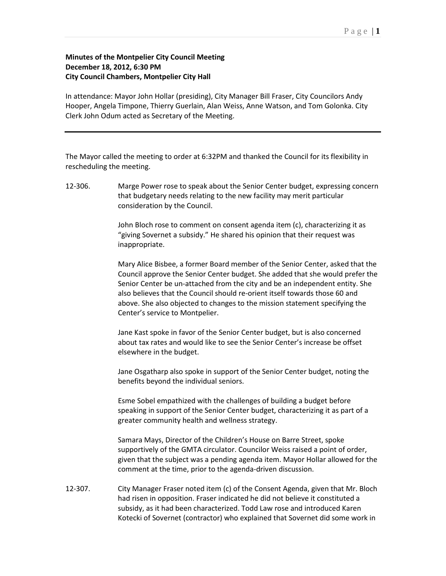## **Minutes of the Montpelier City Council Meeting December 18, 2012, 6:30 PM City Council Chambers, Montpelier City Hall**

In attendance: Mayor John Hollar (presiding), City Manager Bill Fraser, City Councilors Andy Hooper, Angela Timpone, Thierry Guerlain, Alan Weiss, Anne Watson, and Tom Golonka. City Clerk John Odum acted as Secretary of the Meeting.

The Mayor called the meeting to order at 6:32PM and thanked the Council for its flexibility in rescheduling the meeting.

12-306. Marge Power rose to speak about the Senior Center budget, expressing concern that budgetary needs relating to the new facility may merit particular consideration by the Council.

> John Bloch rose to comment on consent agenda item (c), characterizing it as "giving Sovernet a subsidy." He shared his opinion that their request was inappropriate.

Mary Alice Bisbee, a former Board member of the Senior Center, asked that the Council approve the Senior Center budget. She added that she would prefer the Senior Center be un-attached from the city and be an independent entity. She also believes that the Council should re-orient itself towards those 60 and above. She also objected to changes to the mission statement specifying the Center's service to Montpelier.

Jane Kast spoke in favor of the Senior Center budget, but is also concerned about tax rates and would like to see the Senior Center's increase be offset elsewhere in the budget.

Jane Osgatharp also spoke in support of the Senior Center budget, noting the benefits beyond the individual seniors.

Esme Sobel empathized with the challenges of building a budget before speaking in support of the Senior Center budget, characterizing it as part of a greater community health and wellness strategy.

Samara Mays, Director of the Children's House on Barre Street, spoke supportively of the GMTA circulator. Councilor Weiss raised a point of order, given that the subject was a pending agenda item. Mayor Hollar allowed for the comment at the time, prior to the agenda-driven discussion.

12-307. City Manager Fraser noted item (c) of the Consent Agenda, given that Mr. Bloch had risen in opposition. Fraser indicated he did not believe it constituted a subsidy, as it had been characterized. Todd Law rose and introduced Karen Kotecki of Sovernet (contractor) who explained that Sovernet did some work in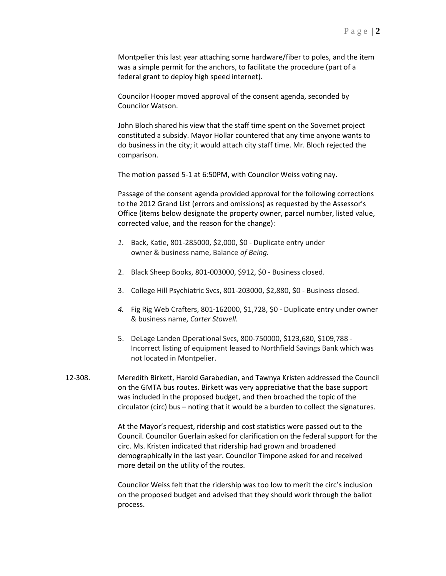Montpelier this last year attaching some hardware/fiber to poles, and the item was a simple permit for the anchors, to facilitate the procedure (part of a federal grant to deploy high speed internet).

Councilor Hooper moved approval of the consent agenda, seconded by Councilor Watson.

John Bloch shared his view that the staff time spent on the Sovernet project constituted a subsidy. Mayor Hollar countered that any time anyone wants to do business in the city; it would attach city staff time. Mr. Bloch rejected the comparison.

The motion passed 5-1 at 6:50PM, with Councilor Weiss voting nay.

Passage of the consent agenda provided approval for the following corrections to the 2012 Grand List (errors and omissions) as requested by the Assessor's Office (items below designate the property owner, parcel number, listed value, corrected value, and the reason for the change):

- *1.* Back, Katie, 801-285000, \$2,000, \$0 Duplicate entry under owner & business name, Balance *of Being.*
- 2. Black Sheep Books, 801-003000, \$912, \$0 Business closed.
- 3. College Hill Psychiatric Svcs, 801-203000, \$2,880, \$0 Business closed.
- *4.* Fig Rig Web Crafters, 801-162000, \$1,728, \$0 Duplicate entry under owner & business name, *Carter Stowell.*
- 5. DeLage Landen Operational Svcs, 800-750000, \$123,680, \$109,788 Incorrect listing of equipment leased to Northfield Savings Bank which was not located in Montpelier.
- 12-308. Meredith Birkett, Harold Garabedian, and Tawnya Kristen addressed the Council on the GMTA bus routes. Birkett was very appreciative that the base support was included in the proposed budget, and then broached the topic of the circulator (circ) bus – noting that it would be a burden to collect the signatures.

At the Mayor's request, ridership and cost statistics were passed out to the Council. Councilor Guerlain asked for clarification on the federal support for the circ. Ms. Kristen indicated that ridership had grown and broadened demographically in the last year. Councilor Timpone asked for and received more detail on the utility of the routes.

Councilor Weiss felt that the ridership was too low to merit the circ's inclusion on the proposed budget and advised that they should work through the ballot process.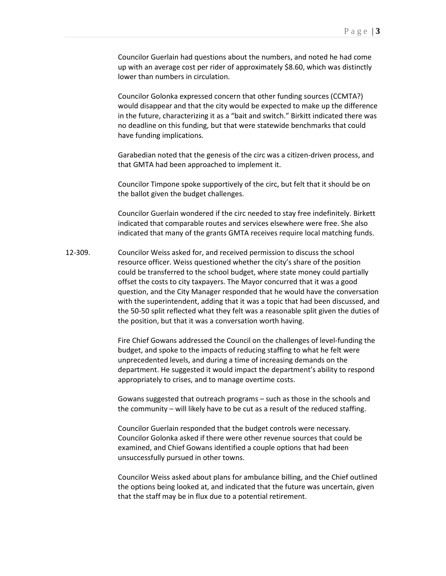Councilor Guerlain had questions about the numbers, and noted he had come up with an average cost per rider of approximately \$8.60, which was distinctly lower than numbers in circulation.

Councilor Golonka expressed concern that other funding sources (CCMTA?) would disappear and that the city would be expected to make up the difference in the future, characterizing it as a "bait and switch." Birkitt indicated there was no deadline on this funding, but that were statewide benchmarks that could have funding implications.

Garabedian noted that the genesis of the circ was a citizen-driven process, and that GMTA had been approached to implement it.

Councilor Timpone spoke supportively of the circ, but felt that it should be on the ballot given the budget challenges.

Councilor Guerlain wondered if the circ needed to stay free indefinitely. Birkett indicated that comparable routes and services elsewhere were free. She also indicated that many of the grants GMTA receives require local matching funds.

12-309. Councilor Weiss asked for, and received permission to discuss the school resource officer. Weiss questioned whether the city's share of the position could be transferred to the school budget, where state money could partially offset the costs to city taxpayers. The Mayor concurred that it was a good question, and the City Manager responded that he would have the conversation with the superintendent, adding that it was a topic that had been discussed, and the 50-50 split reflected what they felt was a reasonable split given the duties of the position, but that it was a conversation worth having.

> Fire Chief Gowans addressed the Council on the challenges of level-funding the budget, and spoke to the impacts of reducing staffing to what he felt were unprecedented levels, and during a time of increasing demands on the department. He suggested it would impact the department's ability to respond appropriately to crises, and to manage overtime costs.

Gowans suggested that outreach programs – such as those in the schools and the community – will likely have to be cut as a result of the reduced staffing.

Councilor Guerlain responded that the budget controls were necessary. Councilor Golonka asked if there were other revenue sources that could be examined, and Chief Gowans identified a couple options that had been unsuccessfully pursued in other towns.

Councilor Weiss asked about plans for ambulance billing, and the Chief outlined the options being looked at, and indicated that the future was uncertain, given that the staff may be in flux due to a potential retirement.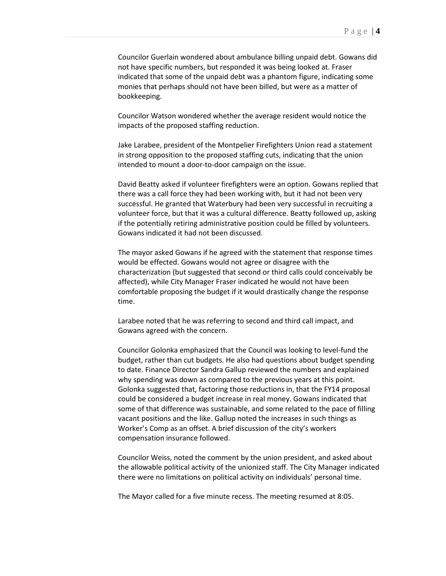Councilor Guerlain wondered about ambulance billing unpaid debt. Gowans did not have specific numbers, but responded it was being looked at. Fraser indicated that some of the unpaid debt was a phantom figure, indicating some monies that perhaps should not have been billed, but were as a matter of bookkeeping.

Councilor Watson wondered whether the average resident would notice the impacts of the proposed staffing reduction.

Jake Larabee, president of the Montpelier Firefighters Union read a statement in strong opposition to the proposed staffing cuts, indicating that the union intended to mount a door-to-door campaign on the issue.

David Beatty asked if volunteer firefighters were an option. Gowans replied that there was a call force they had been working with, but it had not been very successful. He granted that Waterbury had been very successful in recruiting a volunteer force, but that it was a cultural difference. Beatty followed up, asking if the potentially retiring administrative position could be filled by volunteers. Gowans indicated it had not been discussed.

The mayor asked Gowans if he agreed with the statement that response times would be effected. Gowans would not agree or disagree with the characterization (but suggested that second or third calls could conceivably be affected), while City Manager Fraser indicated he would not have been comfortable proposing the budget if it would drastically change the response time.

Larabee noted that he was referring to second and third call impact, and Gowans agreed with the concern.

Councilor Golonka emphasized that the Council was looking to level-fund the budget, rather than cut budgets. He also had questions about budget spending to date. Finance Director Sandra Gallup reviewed the numbers and explained why spending was down as compared to the previous years at this point. Golonka suggested that, factoring those reductions in, that the FY14 proposal could be considered a budget increase in real money. Gowans indicated that some of that difference was sustainable, and some related to the pace of filling vacant positions and the like. Gallup noted the increases in such things as Worker's Comp as an offset. A brief discussion of the city's workers compensation insurance followed.

Councilor Weiss, noted the comment by the union president, and asked about the allowable political activity of the unionized staff. The City Manager indicated there were no limitations on political activity on individuals' personal time.

The Mayor called for a five minute recess. The meeting resumed at 8:05.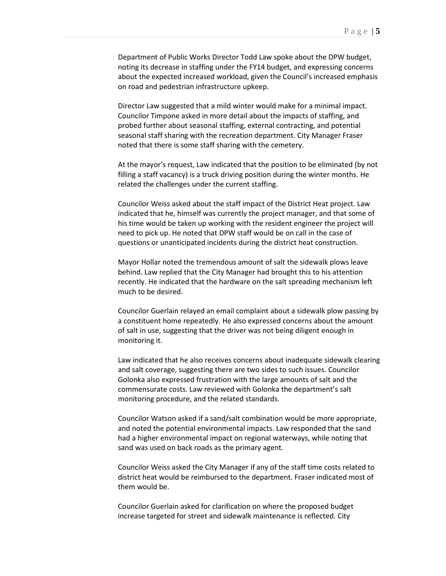Department of Public Works Director Todd Law spoke about the DPW budget, noting its decrease in staffing under the FY14 budget, and expressing concerns about the expected increased workload, given the Council's increased emphasis on road and pedestrian infrastructure upkeep.

Director Law suggested that a mild winter would make for a minimal impact. Councilor Timpone asked in more detail about the impacts of staffing, and probed further about seasonal staffing, external contracting, and potential seasonal staff sharing with the recreation department. City Manager Fraser noted that there is some staff sharing with the cemetery.

At the mayor's request, Law indicated that the position to be eliminated (by not filling a staff vacancy) is a truck driving position during the winter months. He related the challenges under the current staffing.

Councilor Weiss asked about the staff impact of the District Heat project. Law indicated that he, himself was currently the project manager, and that some of his time would be taken up working with the resident engineer the project will need to pick up. He noted that DPW staff would be on call in the case of questions or unanticipated incidents during the district heat construction.

Mayor Hollar noted the tremendous amount of salt the sidewalk plows leave behind. Law replied that the City Manager had brought this to his attention recently. He indicated that the hardware on the salt spreading mechanism left much to be desired.

Councilor Guerlain relayed an email complaint about a sidewalk plow passing by a constituent home repeatedly. He also expressed concerns about the amount of salt in use, suggesting that the driver was not being diligent enough in monitoring it.

Law indicated that he also receives concerns about inadequate sidewalk clearing and salt coverage, suggesting there are two sides to such issues. Councilor Golonka also expressed frustration with the large amounts of salt and the commensurate costs. Law reviewed with Golonka the department's salt monitoring procedure, and the related standards.

Councilor Watson asked if a sand/salt combination would be more appropriate, and noted the potential environmental impacts. Law responded that the sand had a higher environmental impact on regional waterways, while noting that sand was used on back roads as the primary agent.

Councilor Weiss asked the City Manager if any of the staff time costs related to district heat would be reimbursed to the department. Fraser indicated most of them would be.

Councilor Guerlain asked for clarification on where the proposed budget increase targeted for street and sidewalk maintenance is reflected. City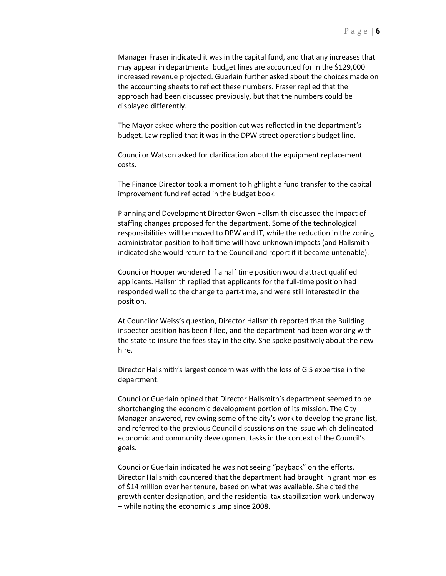Manager Fraser indicated it was in the capital fund, and that any increases that may appear in departmental budget lines are accounted for in the \$129,000 increased revenue projected. Guerlain further asked about the choices made on the accounting sheets to reflect these numbers. Fraser replied that the approach had been discussed previously, but that the numbers could be displayed differently.

The Mayor asked where the position cut was reflected in the department's budget. Law replied that it was in the DPW street operations budget line.

Councilor Watson asked for clarification about the equipment replacement costs.

The Finance Director took a moment to highlight a fund transfer to the capital improvement fund reflected in the budget book.

Planning and Development Director Gwen Hallsmith discussed the impact of staffing changes proposed for the department. Some of the technological responsibilities will be moved to DPW and IT, while the reduction in the zoning administrator position to half time will have unknown impacts (and Hallsmith indicated she would return to the Council and report if it became untenable).

Councilor Hooper wondered if a half time position would attract qualified applicants. Hallsmith replied that applicants for the full-time position had responded well to the change to part-time, and were still interested in the position.

At Councilor Weiss's question, Director Hallsmith reported that the Building inspector position has been filled, and the department had been working with the state to insure the fees stay in the city. She spoke positively about the new hire.

Director Hallsmith's largest concern was with the loss of GIS expertise in the department.

Councilor Guerlain opined that Director Hallsmith's department seemed to be shortchanging the economic development portion of its mission. The City Manager answered, reviewing some of the city's work to develop the grand list, and referred to the previous Council discussions on the issue which delineated economic and community development tasks in the context of the Council's goals.

Councilor Guerlain indicated he was not seeing "payback" on the efforts. Director Hallsmith countered that the department had brought in grant monies of \$14 million over her tenure, based on what was available. She cited the growth center designation, and the residential tax stabilization work underway – while noting the economic slump since 2008.